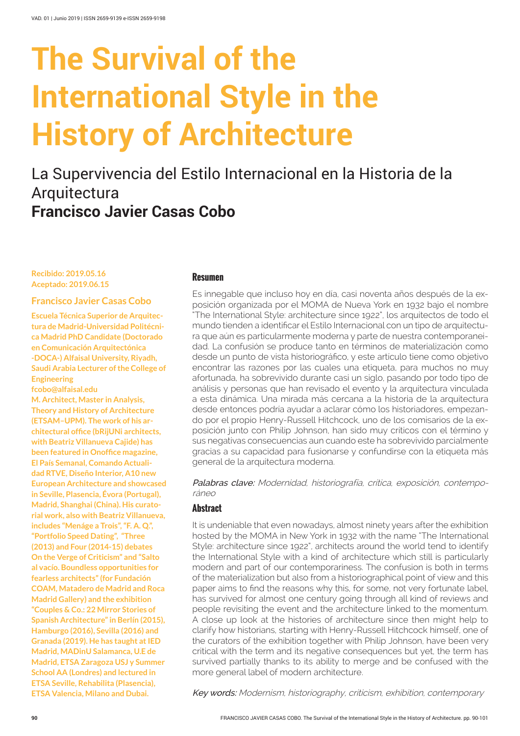# **The Survival of the International Style in the History of Architecture**

# La Supervivencia del Estilo Internacional en la Historia de la Arquitectura **Francisco Javier Casas Cobo**

#### **Recibido: 2019.05.16 Aceptado: 2019.06.15**

#### **Francisco Javier Casas Cobo**

**Escuela Técnica Superior de Arquitectura de Madrid-Universidad Politécnica Madrid PhD Candidate (Doctorado en Comunicación Arquitectónica -DOCA-) Alfaisal University, Riyadh, Saudi Arabia Lecturer of the College of Engineering [fcobo@alfaisal.edu](mailto:fcobo%40alfaisal.edu?subject=Consulta%20sobre%20%22The%20Survival%20of%20the%20International%20Style%20in%20the%20History%20of%20Architecture%22%20en%20VADo1)**

**M. Architect, Master in Analysis, Theory and History of Architecture (ETSAM–UPM). The work of his architectural office (bRijUNi architects, with Beatriz Villanueva Cajide) has been featured in Onoffice magazine, El País Semanal, Comando Actualidad RTVE, Diseño Interior, A10 new European Architecture and showcased in Seville, Plasencia, Évora (Portugal), Madrid, Shanghai (China). His curatorial work, also with Beatriz Villanueva, includes "Menáge a Trois", "F. A. Q.", "Portfolio Speed Dating", "Three (2013) and Four (2014-15) debates On the Verge of Criticism" and "Salto al vacío. Boundless opportunities for fearless architects" (for Fundación COAM, Matadero de Madrid and Roca Madrid Gallery) and the exhibition "Couples & Co.: 22 Mirror Stories of Spanish Architecture" in Berlín (2015), Hamburgo (2016), Sevilla (2016) and Granada (2019). He has taught at IED Madrid, MADinU Salamanca, U.E de Madrid, ETSA Zaragoza USJ y Summer School AA (Londres) and lectured in ETSA Seville, Rehabilita (Plasencia), ETSA Valencia, Milano and Dubai.**

#### **Resumen**

Es innegable que incluso hoy en día, casi noventa años después de la exposición organizada por el MOMA de Nueva York en 1932 bajo el nombre "The International Style: architecture since 1922", los arquitectos de todo el mundo tienden a identificar el Estilo Internacional con un tipo de arquitectura que aún es particularmente moderna y parte de nuestra contemporaneidad. La confusión se produce tanto en términos de materialización como desde un punto de vista historiográfico, y este artículo tiene como objetivo encontrar las razones por las cuales una etiqueta, para muchos no muy afortunada, ha sobrevivido durante casi un siglo, pasando por todo tipo de análisis y personas que han revisado el evento y la arquitectura vinculada a esta dinámica. Una mirada más cercana a la historia de la arquitectura desde entonces podría ayudar a aclarar cómo los historiadores, empezando por el propio Henry-Russell Hitchcock, uno de los comisarios de la exposición junto con Philip Johnson, han sido muy críticos con el término y sus negativas consecuencias aun cuando este ha sobrevivido parcialmente gracias a su capacidad para fusionarse y confundirse con la etiqueta más general de la arquitectura moderna.

Palabras clave: Modernidad, historiografía, crítica, exposición, contemporáneo

#### **Abstract**

It is undeniable that even nowadays, almost ninety years after the exhibition hosted by the MOMA in New York in 1932 with the name "The International Style: architecture since 1922", architects around the world tend to identify the International Style with a kind of architecture which still is particularly modern and part of our contemporariness. The confusion is both in terms of the materialization but also from a historiographical point of view and this paper aims to find the reasons why this, for some, not very fortunate label, has survived for almost one century going through all kind of reviews and people revisiting the event and the architecture linked to the momentum. A close up look at the histories of architecture since then might help to clarify how historians, starting with Henry-Russell Hitchcock himself, one of the curators of the exhibition together with Philip Johnson, have been very critical with the term and its negative consequences but yet, the term has survived partially thanks to its ability to merge and be confused with the more general label of modern architecture.

Key words: Modernism, historiography, criticism, exhibition, contemporary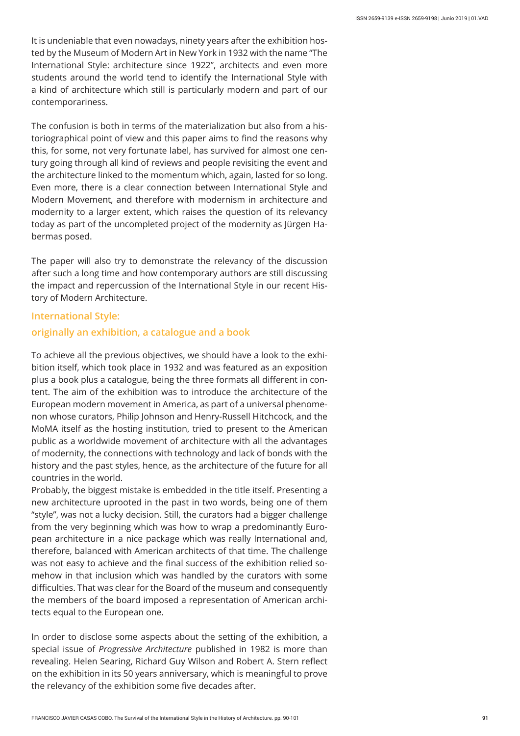It is undeniable that even nowadays, ninety years after the exhibition hosted by the Museum of Modern Art in New York in 1932 with the name "The International Style: architecture since 1922", architects and even more students around the world tend to identify the International Style with a kind of architecture which still is particularly modern and part of our contemporariness.

The confusion is both in terms of the materialization but also from a historiographical point of view and this paper aims to find the reasons why this, for some, not very fortunate label, has survived for almost one century going through all kind of reviews and people revisiting the event and the architecture linked to the momentum which, again, lasted for so long. Even more, there is a clear connection between International Style and Modern Movement, and therefore with modernism in architecture and modernity to a larger extent, which raises the question of its relevancy today as part of the uncompleted project of the modernity as Jürgen Habermas posed.

The paper will also try to demonstrate the relevancy of the discussion after such a long time and how contemporary authors are still discussing the impact and repercussion of the International Style in our recent History of Modern Architecture.

#### **International Style:**

#### **originally an exhibition, a catalogue and a book**

To achieve all the previous objectives, we should have a look to the exhibition itself, which took place in 1932 and was featured as an exposition plus a book plus a catalogue, being the three formats all different in content. The aim of the exhibition was to introduce the architecture of the European modern movement in America, as part of a universal phenomenon whose curators, Philip Johnson and Henry-Russell Hitchcock, and the MoMA itself as the hosting institution, tried to present to the American public as a worldwide movement of architecture with all the advantages of modernity, the connections with technology and lack of bonds with the history and the past styles, hence, as the architecture of the future for all countries in the world.

Probably, the biggest mistake is embedded in the title itself. Presenting a new architecture uprooted in the past in two words, being one of them "style", was not a lucky decision. Still, the curators had a bigger challenge from the very beginning which was how to wrap a predominantly European architecture in a nice package which was really International and, therefore, balanced with American architects of that time. The challenge was not easy to achieve and the final success of the exhibition relied somehow in that inclusion which was handled by the curators with some difficulties. That was clear for the Board of the museum and consequently the members of the board imposed a representation of American architects equal to the European one.

In order to disclose some aspects about the setting of the exhibition, a special issue of *Progressive Architecture* published in 1982 is more than revealing. Helen Searing, Richard Guy Wilson and Robert A. Stern reflect on the exhibition in its 50 years anniversary, which is meaningful to prove the relevancy of the exhibition some five decades after.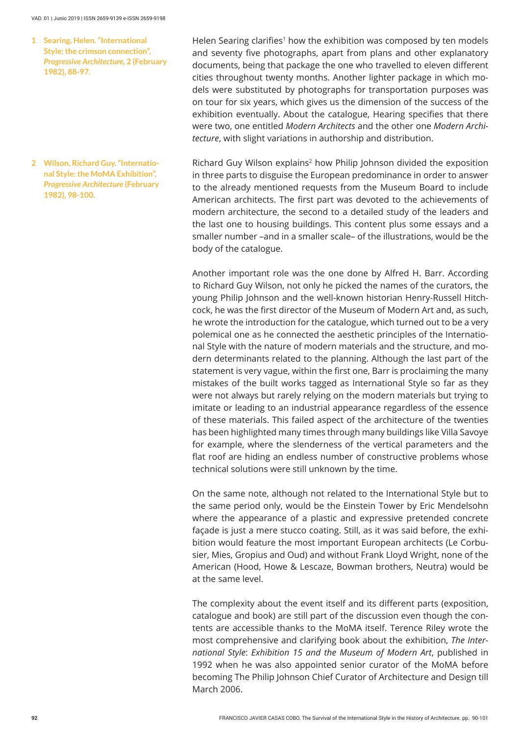#### VAD. 01 | Junio 2019 | ISSN 2659-9139 e-ISSN 2659-9198

**Searing, Helen. "International 1 Style: the crimson connection",**  *Progressive Architecture,* **2 (February 1982), 88-97.**

**Wilson, Richard Guy. "Internatio-2 nal Style: the MoMA Exhibition",**  *Progressive Architecture* **(February 1982), 98-100.**

Helen Searing clarifies<sup>1</sup> how the exhibition was composed by ten models and seventy five photographs, apart from plans and other explanatory documents, being that package the one who travelled to eleven different cities throughout twenty months. Another lighter package in which models were substituted by photographs for transportation purposes was on tour for six years, which gives us the dimension of the success of the exhibition eventually. About the catalogue, Hearing specifies that there were two, one entitled *Modern Architects* and the other one *Modern Architecture*, with slight variations in authorship and distribution.

Richard Guy Wilson explains<sup>2</sup> how Philip Johnson divided the exposition in three parts to disguise the European predominance in order to answer to the already mentioned requests from the Museum Board to include American architects. The first part was devoted to the achievements of modern architecture, the second to a detailed study of the leaders and the last one to housing buildings. This content plus some essays and a smaller number –and in a smaller scale– of the illustrations, would be the body of the catalogue.

Another important role was the one done by Alfred H. Barr. According to Richard Guy Wilson, not only he picked the names of the curators, the young Philip Johnson and the well-known historian Henry-Russell Hitchcock, he was the first director of the Museum of Modern Art and, as such, he wrote the introduction for the catalogue, which turned out to be a very polemical one as he connected the aesthetic principles of the International Style with the nature of modern materials and the structure, and modern determinants related to the planning. Although the last part of the statement is very vague, within the first one, Barr is proclaiming the many mistakes of the built works tagged as International Style so far as they were not always but rarely relying on the modern materials but trying to imitate or leading to an industrial appearance regardless of the essence of these materials. This failed aspect of the architecture of the twenties has been highlighted many times through many buildings like Villa Savoye for example, where the slenderness of the vertical parameters and the flat roof are hiding an endless number of constructive problems whose technical solutions were still unknown by the time.

On the same note, although not related to the International Style but to the same period only, would be the Einstein Tower by Eric Mendelsohn where the appearance of a plastic and expressive pretended concrete façade is just a mere stucco coating. Still, as it was said before, the exhibition would feature the most important European architects (Le Corbusier, Mies, Gropius and Oud) and without Frank Lloyd Wright, none of the American (Hood, Howe & Lescaze, Bowman brothers, Neutra) would be at the same level.

The complexity about the event itself and its different parts (exposition, catalogue and book) are still part of the discussion even though the contents are accessible thanks to the MoMA itself. Terence Riley wrote the most comprehensive and clarifying book about the exhibition, *The International Style*: *Exhibition 15 and the Museum of Modern Art*, published in 1992 when he was also appointed senior curator of the MoMA before becoming The Philip Johnson Chief Curator of Architecture and Design till March 2006.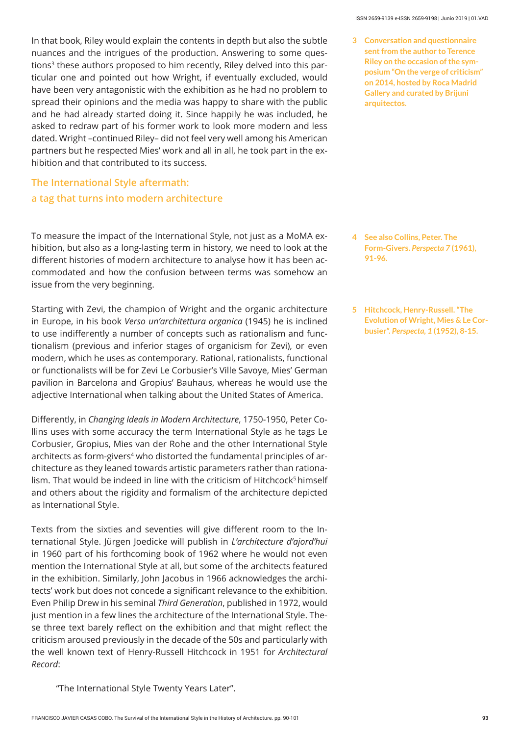In that book, Riley would explain the contents in depth but also the subtle nuances and the intrigues of the production. Answering to some questions<sup>3</sup> these authors proposed to him recently, Riley delved into this particular one and pointed out how Wright, if eventually excluded, would have been very antagonistic with the exhibition as he had no problem to spread their opinions and the media was happy to share with the public and he had already started doing it. Since happily he was included, he asked to redraw part of his former work to look more modern and less dated. Wright –continued Riley– did not feel very well among his American partners but he respected Mies' work and all in all, he took part in the exhibition and that contributed to its success.

## **The International Style aftermath: a tag that turns into modern architecture**

To measure the impact of the International Style, not just as a MoMA exhibition, but also as a long-lasting term in history, we need to look at the different histories of modern architecture to analyse how it has been accommodated and how the confusion between terms was somehow an issue from the very beginning.

Starting with Zevi, the champion of Wright and the organic architecture in Europe, in his book *Verso un'architettura organica* (1945) he is inclined to use indifferently a number of concepts such as rationalism and functionalism (previous and inferior stages of organicism for Zevi), or even modern, which he uses as contemporary. Rational, rationalists, functional or functionalists will be for Zevi Le Corbusier's Ville Savoye, Mies' German pavilion in Barcelona and Gropius' Bauhaus, whereas he would use the adjective International when talking about the United States of America.

Differently, in *Changing Ideals in Modern Architecture*, 1750-1950, Peter Collins uses with some accuracy the term International Style as he tags Le Corbusier, Gropius, Mies van der Rohe and the other International Style architects as form-givers<sup>4</sup> who distorted the fundamental principles of architecture as they leaned towards artistic parameters rather than rationalism. That would be indeed in line with the criticism of Hitchcock<sup>5</sup> himself and others about the rigidity and formalism of the architecture depicted as International Style.

Texts from the sixties and seventies will give different room to the International Style. Jürgen Joedicke will publish in *L'architecture d'ajord'hui*  in 1960 part of his forthcoming book of 1962 where he would not even mention the International Style at all, but some of the architects featured in the exhibition. Similarly, John Jacobus in 1966 acknowledges the architects' work but does not concede a significant relevance to the exhibition. Even Philip Drew in his seminal *Third Generation*, published in 1972, would just mention in a few lines the architecture of the International Style. These three text barely reflect on the exhibition and that might reflect the criticism aroused previously in the decade of the 50s and particularly with the well known text of Henry-Russell Hitchcock in 1951 for *Architectural Record*:

"The International Style Twenty Years Later".

**Conversation and questionnaire 3 sent from the author to Terence Riley on the occasion of the symposium "On the verge of criticism" on 2014, hosted by Roca Madrid Gallery and curated by Brijuni arquitectos.**

- **See also Collins, Peter. The 4 Form-Givers.** *Perspecta 7* **(1961), 91-96.**
- **Hitchcock, Henry-Russell. "The 5 Evolution of Wright, Mies & Le Corbusier".** *Perspecta, 1* **(1952), 8-15.**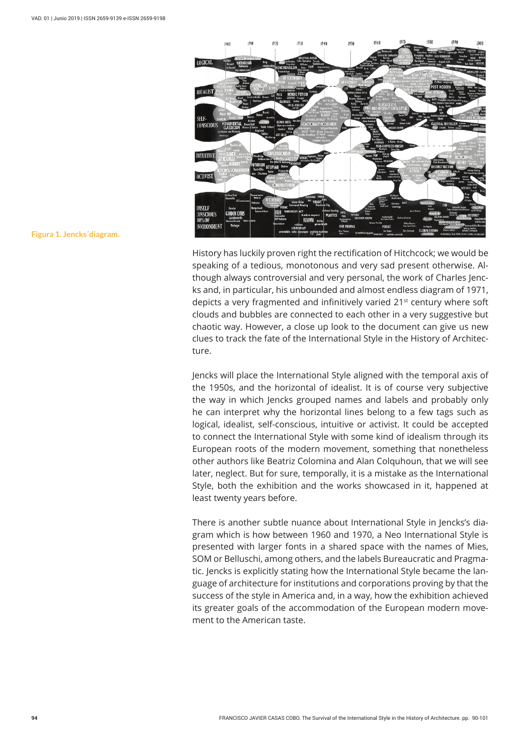

**Figura 1. Jencks´diagram.**

History has luckily proven right the rectification of Hitchcock; we would be speaking of a tedious, monotonous and very sad present otherwise. Although always controversial and very personal, the work of Charles Jencks and, in particular, his unbounded and almost endless diagram of 1971, depicts a very fragmented and infinitively varied 21<sup>st</sup> century where soft clouds and bubbles are connected to each other in a very suggestive but chaotic way. However, a close up look to the document can give us new clues to track the fate of the International Style in the History of Architecture.

Jencks will place the International Style aligned with the temporal axis of the 1950s, and the horizontal of idealist. It is of course very subjective the way in which Jencks grouped names and labels and probably only he can interpret why the horizontal lines belong to a few tags such as logical, idealist, self-conscious, intuitive or activist. It could be accepted to connect the International Style with some kind of idealism through its European roots of the modern movement, something that nonetheless other authors like Beatriz Colomina and Alan Colquhoun, that we will see later, neglect. But for sure, temporally, it is a mistake as the International Style, both the exhibition and the works showcased in it, happened at least twenty years before.

There is another subtle nuance about International Style in Jencks's diagram which is how between 1960 and 1970, a Neo International Style is presented with larger fonts in a shared space with the names of Mies, SOM or Belluschi, among others, and the labels Bureaucratic and Pragmatic. Jencks is explicitly stating how the International Style became the language of architecture for institutions and corporations proving by that the success of the style in America and, in a way, how the exhibition achieved its greater goals of the accommodation of the European modern movement to the American taste.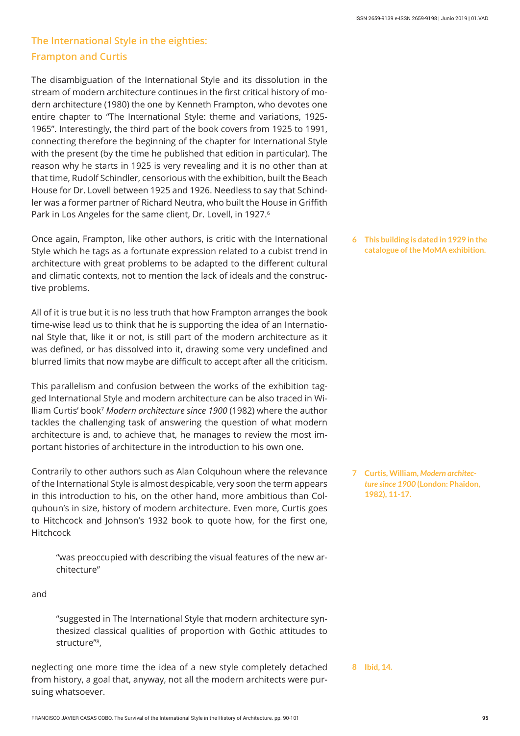## **The International Style in the eighties: Frampton and Curtis**

The disambiguation of the International Style and its dissolution in the stream of modern architecture continues in the first critical history of modern architecture (1980) the one by Kenneth Frampton, who devotes one entire chapter to "The International Style: theme and variations, 1925- 1965". Interestingly, the third part of the book covers from 1925 to 1991, connecting therefore the beginning of the chapter for International Style with the present (by the time he published that edition in particular). The reason why he starts in 1925 is very revealing and it is no other than at that time, Rudolf Schindler, censorious with the exhibition, built the Beach House for Dr. Lovell between 1925 and 1926. Needless to say that Schindler was a former partner of Richard Neutra, who built the House in Griffith Park in Los Angeles for the same client, Dr. Lovell, in 1927.<sup>6</sup>

Once again, Frampton, like other authors, is critic with the International Style which he tags as a fortunate expression related to a cubist trend in architecture with great problems to be adapted to the different cultural and climatic contexts, not to mention the lack of ideals and the constructive problems.

All of it is true but it is no less truth that how Frampton arranges the book time-wise lead us to think that he is supporting the idea of an International Style that, like it or not, is still part of the modern architecture as it was defined, or has dissolved into it, drawing some very undefined and blurred limits that now maybe are difficult to accept after all the criticism.

This parallelism and confusion between the works of the exhibition tagged International Style and modern architecture can be also traced in William Curtis' book7 *Modern architecture since 1900* (1982) where the author tackles the challenging task of answering the question of what modern architecture is and, to achieve that, he manages to review the most important histories of architecture in the introduction to his own one.

Contrarily to other authors such as Alan Colquhoun where the relevance of the International Style is almost despicable, very soon the term appears in this introduction to his, on the other hand, more ambitious than Colquhoun's in size, history of modern architecture. Even more, Curtis goes to Hitchcock and Johnson's 1932 book to quote how, for the first one, Hitchcock

"was preoccupied with describing the visual features of the new architecture"

and

"suggested in The International Style that modern architecture synthesized classical qualities of proportion with Gothic attitudes to structure"8,

neglecting one more time the idea of a new style completely detached from history, a goal that, anyway, not all the modern architects were pursuing whatsoever.

**This building is dated in 1929 in the 6 catalogue of the MoMA exhibition.**

**Curtis, William,** *Modern architec-***7** *ture since 1900* **(London: Phaidon, 1982), 11-17.**

**8 Ibid, 14.**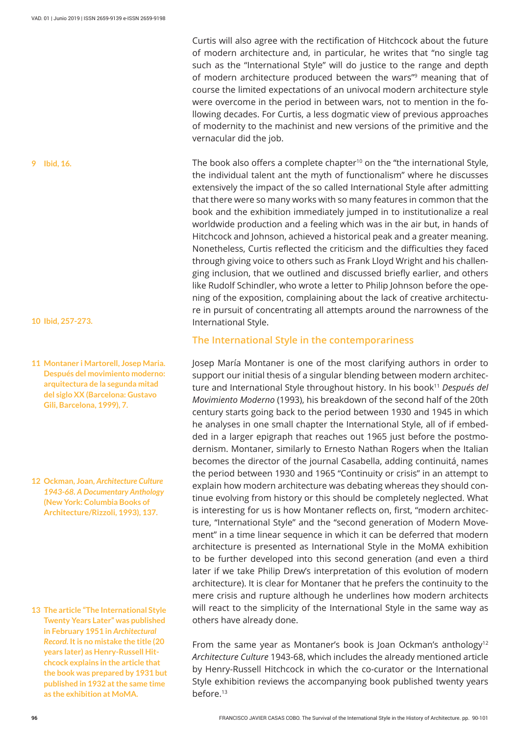**10 Ibid, 257-273.**

**9 Ibid, 16.**

- **Montaner i Martorell, Josep Maria. 11 Después del movimiento moderno: arquitectura de la segunda mitad del siglo XX (Barcelona: Gustavo Gili, Barcelona, 1999), 7.**
- **Ockman, Joan,** *Architecture Culture*  **12** *1943-68. A Documentary Anthology*  **(New York: Columbia Books of Architecture/Rizzoli, 1993), 137.**

**The article "The International Style 13 Twenty Years Later" was published in February 1951 in** *Architectural Record***. It is no mistake the title (20 years later) as Henry-Russell Hitchcock explains in the article that the book was prepared by 1931 but published in 1932 at the same time as the exhibition at MoMA.**

Curtis will also agree with the rectification of Hitchcock about the future of modern architecture and, in particular, he writes that "no single tag such as the "International Style" will do justice to the range and depth of modern architecture produced between the wars"<sup>9</sup> meaning that of course the limited expectations of an univocal modern architecture style were overcome in the period in between wars, not to mention in the following decades. For Curtis, a less dogmatic view of previous approaches of modernity to the machinist and new versions of the primitive and the vernacular did the job.

The book also offers a complete chapter<sup>10</sup> on the "the international Style, the individual talent ant the myth of functionalism" where he discusses extensively the impact of the so called International Style after admitting that there were so many works with so many features in common that the book and the exhibition immediately jumped in to institutionalize a real worldwide production and a feeling which was in the air but, in hands of Hitchcock and Johnson, achieved a historical peak and a greater meaning. Nonetheless, Curtis reflected the criticism and the difficulties they faced through giving voice to others such as Frank Lloyd Wright and his challenging inclusion, that we outlined and discussed briefly earlier, and others like Rudolf Schindler, who wrote a letter to Philip Johnson before the opening of the exposition, complaining about the lack of creative architecture in pursuit of concentrating all attempts around the narrowness of the International Style.

#### **The International Style in the contemporariness**

Josep María Montaner is one of the most clarifying authors in order to support our initial thesis of a singular blending between modern architecture and International Style throughout history. In his book<sup>11</sup> Después del *Movimiento Moderno* (1993), his breakdown of the second half of the 20th century starts going back to the period between 1930 and 1945 in which he analyses in one small chapter the International Style, all of if embedded in a larger epigraph that reaches out 1965 just before the postmodernism. Montaner, similarly to Ernesto Nathan Rogers when the Italian becomes the director of the journal Casabella, adding continuitá, names the period between 1930 and 1965 "Continuity or crisis" in an attempt to explain how modern architecture was debating whereas they should continue evolving from history or this should be completely neglected. What is interesting for us is how Montaner reflects on, first, "modern architecture, "International Style" and the "second generation of Modern Movement" in a time linear sequence in which it can be deferred that modern architecture is presented as International Style in the MoMA exhibition to be further developed into this second generation (and even a third later if we take Philip Drew's interpretation of this evolution of modern architecture). It is clear for Montaner that he prefers the continuity to the mere crisis and rupture although he underlines how modern architects will react to the simplicity of the International Style in the same way as others have already done.

From the same year as Montaner's book is Joan Ockman's anthology<sup>12</sup> *Architecture Culture* 1943-68, which includes the already mentioned article by Henry-Russell Hitchcock in which the co-curator or the International Style exhibition reviews the accompanying book published twenty years before.13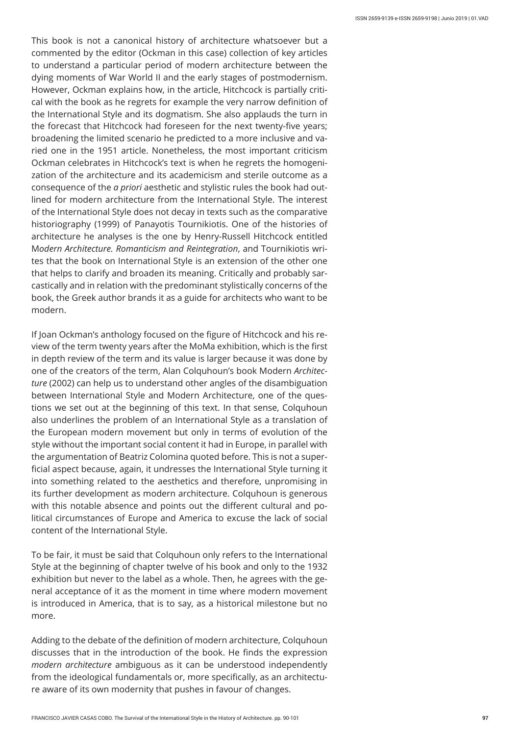This book is not a canonical history of architecture whatsoever but a commented by the editor (Ockman in this case) collection of key articles to understand a particular period of modern architecture between the dying moments of War World II and the early stages of postmodernism. However, Ockman explains how, in the article, Hitchcock is partially critical with the book as he regrets for example the very narrow definition of the International Style and its dogmatism. She also applauds the turn in the forecast that Hitchcock had foreseen for the next twenty-five years; broadening the limited scenario he predicted to a more inclusive and varied one in the 1951 article. Nonetheless, the most important criticism Ockman celebrates in Hitchcock's text is when he regrets the homogenization of the architecture and its academicism and sterile outcome as a consequence of the *a priori* aesthetic and stylistic rules the book had outlined for modern architecture from the International Style. The interest of the International Style does not decay in texts such as the comparative historiography (1999) of Panayotis Tournikiotis. One of the histories of architecture he analyses is the one by Henry-Russell Hitchcock entitled M*odern Architecture. Romanticism and Reintegration*, and Tournikiotis writes that the book on International Style is an extension of the other one that helps to clarify and broaden its meaning. Critically and probably sarcastically and in relation with the predominant stylistically concerns of the book, the Greek author brands it as a guide for architects who want to be modern.

If Joan Ockman's anthology focused on the figure of Hitchcock and his review of the term twenty years after the MoMa exhibition, which is the first in depth review of the term and its value is larger because it was done by one of the creators of the term, Alan Colquhoun's book Modern *Architecture* (2002) can help us to understand other angles of the disambiguation between International Style and Modern Architecture, one of the questions we set out at the beginning of this text. In that sense, Colquhoun also underlines the problem of an International Style as a translation of the European modern movement but only in terms of evolution of the style without the important social content it had in Europe, in parallel with the argumentation of Beatriz Colomina quoted before. This is not a superficial aspect because, again, it undresses the International Style turning it into something related to the aesthetics and therefore, unpromising in its further development as modern architecture. Colquhoun is generous with this notable absence and points out the different cultural and political circumstances of Europe and America to excuse the lack of social content of the International Style.

To be fair, it must be said that Colquhoun only refers to the International Style at the beginning of chapter twelve of his book and only to the 1932 exhibition but never to the label as a whole. Then, he agrees with the general acceptance of it as the moment in time where modern movement is introduced in America, that is to say, as a historical milestone but no more.

Adding to the debate of the definition of modern architecture, Colquhoun discusses that in the introduction of the book. He finds the expression *modern architecture* ambiguous as it can be understood independently from the ideological fundamentals or, more specifically, as an architecture aware of its own modernity that pushes in favour of changes.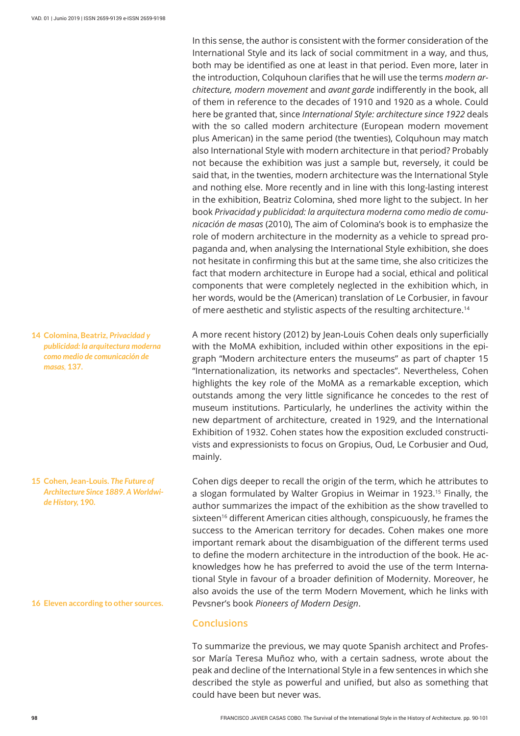In this sense, the author is consistent with the former consideration of the International Style and its lack of social commitment in a way, and thus, both may be identified as one at least in that period. Even more, later in the introduction, Colquhoun clarifies that he will use the terms *modern architecture, modern movement* and *avant garde* indifferently in the book, all of them in reference to the decades of 1910 and 1920 as a whole. Could here be granted that, since *International Style: architecture since 1922* deals with the so called modern architecture (European modern movement plus American) in the same period (the twenties), Colquhoun may match also International Style with modern architecture in that period? Probably not because the exhibition was just a sample but, reversely, it could be said that, in the twenties, modern architecture was the International Style and nothing else. More recently and in line with this long-lasting interest in the exhibition, Beatriz Colomina, shed more light to the subject. In her book *Privacidad y publicidad: la arquitectura moderna como medio de comunicación de masas* (2010), The aim of Colomina's book is to emphasize the role of modern architecture in the modernity as a vehicle to spread propaganda and, when analysing the International Style exhibition, she does not hesitate in confirming this but at the same time, she also criticizes the fact that modern architecture in Europe had a social, ethical and political components that were completely neglected in the exhibition which, in her words, would be the (American) translation of Le Corbusier, in favour of mere aesthetic and stylistic aspects of the resulting architecture.<sup>14</sup>

A more recent history (2012) by Jean-Louis Cohen deals only superficially with the MoMA exhibition, included within other expositions in the epigraph "Modern architecture enters the museums" as part of chapter 15 "Internationalization, its networks and spectacles". Nevertheless, Cohen highlights the key role of the MoMA as a remarkable exception, which outstands among the very little significance he concedes to the rest of museum institutions. Particularly, he underlines the activity within the new department of architecture, created in 1929, and the International Exhibition of 1932. Cohen states how the exposition excluded constructivists and expressionists to focus on Gropius, Oud, Le Corbusier and Oud, mainly.

Cohen digs deeper to recall the origin of the term, which he attributes to a slogan formulated by Walter Gropius in Weimar in 1923.<sup>15</sup> Finally, the author summarizes the impact of the exhibition as the show travelled to sixteen<sup>16</sup> different American cities although, conspicuously, he frames the success to the American territory for decades. Cohen makes one more important remark about the disambiguation of the different terms used to define the modern architecture in the introduction of the book. He acknowledges how he has preferred to avoid the use of the term International Style in favour of a broader definition of Modernity. Moreover, he also avoids the use of the term Modern Movement, which he links with Pevsner's book *Pioneers of Modern Design*.

#### **Conclusions**

To summarize the previous, we may quote Spanish architect and Professor María Teresa Muñoz who, with a certain sadness, wrote about the peak and decline of the International Style in a few sentences in which she described the style as powerful and unified, but also as something that could have been but never was.

**Colomina, Beatriz,** *Privacidad y*  **14** *publicidad: la arquitectura moderna como medio de comunicación de masas,* **137.**

**Cohen, Jean-Louis.** *The Future of*  **15** *Architecture Since 1889. A Worldwide History,* **190.**

**16 Eleven according to other sources.**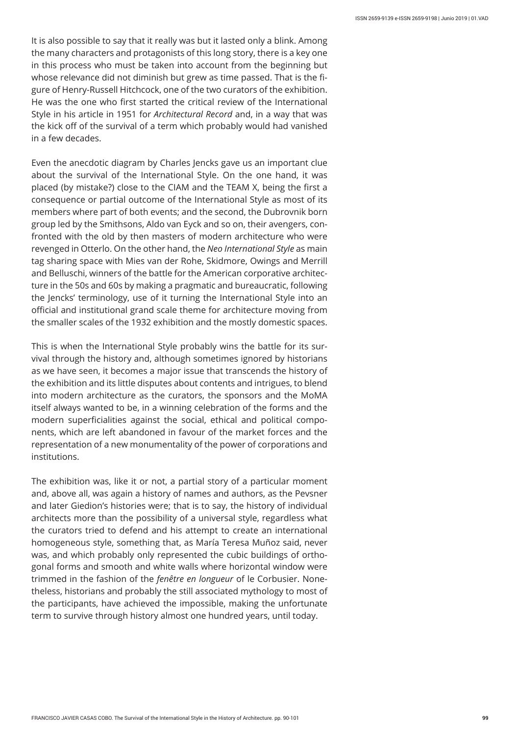It is also possible to say that it really was but it lasted only a blink. Among the many characters and protagonists of this long story, there is a key one in this process who must be taken into account from the beginning but whose relevance did not diminish but grew as time passed. That is the figure of Henry-Russell Hitchcock, one of the two curators of the exhibition. He was the one who first started the critical review of the International Style in his article in 1951 for *Architectural Record* and, in a way that was the kick off of the survival of a term which probably would had vanished in a few decades.

Even the anecdotic diagram by Charles Jencks gave us an important clue about the survival of the International Style. On the one hand, it was placed (by mistake?) close to the CIAM and the TEAM X, being the first a consequence or partial outcome of the International Style as most of its members where part of both events; and the second, the Dubrovnik born group led by the Smithsons, Aldo van Eyck and so on, their avengers, confronted with the old by then masters of modern architecture who were revenged in Otterlo. On the other hand, the *Neo International Style* as main tag sharing space with Mies van der Rohe, Skidmore, Owings and Merrill and Belluschi, winners of the battle for the American corporative architecture in the 50s and 60s by making a pragmatic and bureaucratic, following the Jencks' terminology, use of it turning the International Style into an official and institutional grand scale theme for architecture moving from the smaller scales of the 1932 exhibition and the mostly domestic spaces.

This is when the International Style probably wins the battle for its survival through the history and, although sometimes ignored by historians as we have seen, it becomes a major issue that transcends the history of the exhibition and its little disputes about contents and intrigues, to blend into modern architecture as the curators, the sponsors and the MoMA itself always wanted to be, in a winning celebration of the forms and the modern superficialities against the social, ethical and political components, which are left abandoned in favour of the market forces and the representation of a new monumentality of the power of corporations and institutions.

The exhibition was, like it or not, a partial story of a particular moment and, above all, was again a history of names and authors, as the Pevsner and later Giedion's histories were; that is to say, the history of individual architects more than the possibility of a universal style, regardless what the curators tried to defend and his attempt to create an international homogeneous style, something that, as María Teresa Muñoz said, never was, and which probably only represented the cubic buildings of orthogonal forms and smooth and white walls where horizontal window were trimmed in the fashion of the *fenêtre en longueur* of le Corbusier. Nonetheless, historians and probably the still associated mythology to most of the participants, have achieved the impossible, making the unfortunate term to survive through history almost one hundred years, until today.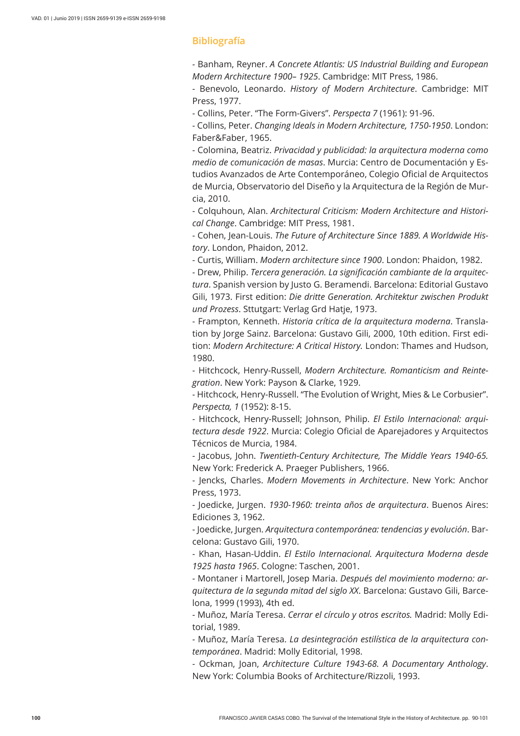#### **Bibliografía**

- Banham, Reyner. *A Concrete Atlantis: US Industrial Building and European Modern Architecture 1900– 1925*. Cambridge: MIT Press, 1986.

- Benevolo, Leonardo. *History of Modern Architecture*. Cambridge: MIT Press, 1977.

- Collins, Peter. "The Form-Givers". *Perspecta 7* (1961): 91-96.

- Collins, Peter. *Changing Ideals in Modern Architecture, 1750-1950*. London: Faber&Faber, 1965.

- Colomina, Beatriz. *Privacidad y publicidad: la arquitectura moderna como medio de comunicación de masas*. Murcia: Centro de Documentación y Estudios Avanzados de Arte Contemporáneo, Colegio Oficial de Arquitectos de Murcia, Observatorio del Diseño y la Arquitectura de la Región de Murcia, 2010.

- Colquhoun, Alan. *Architectural Criticism: Modern Architecture and Historical Change*. Cambridge: MIT Press, 1981.

- Cohen, Jean-Louis. *The Future of Architecture Since 1889. A Worldwide History*. London, Phaidon, 2012.

- Curtis, William. *Modern architecture since 1900*. London: Phaidon, 1982.

- Drew, Philip. *Tercera generación. La significación cambiante de la arquitectura*. Spanish version by Justo G. Beramendi. Barcelona: Editorial Gustavo Gili, 1973. First edition: *Die dritte Generation. Architektur zwischen Produkt und Prozess*. Sttutgart: Verlag Grd Hatje, 1973.

- Frampton, Kenneth. *Historia crítica de la arquitectura moderna*. Translation by Jorge Sainz. Barcelona: Gustavo Gili, 2000, 10th edition. First edition: *Modern Architecture: A Critical History.* London: Thames and Hudson, 1980.

- Hitchcock, Henry-Russell, *Modern Architecture. Romanticism and Reintegration*. New York: Payson & Clarke, 1929.

- Hitchcock, Henry-Russell. "The Evolution of Wright, Mies & Le Corbusier". *Perspecta, 1* (1952): 8-15.

- Hitchcock, Henry-Russell; Johnson, Philip. *El Estilo Internacional: arquitectura desde 1922*. Murcia: Colegio Oficial de Aparejadores y Arquitectos Técnicos de Murcia, 1984.

- Jacobus, John. *Twentieth-Century Architecture, The Middle Years 1940-65.* New York: Frederick A. Praeger Publishers, 1966.

- Jencks, Charles. *Modern Movements in Architecture*. New York: Anchor Press, 1973.

- Joedicke, Jurgen. *1930-1960: treinta años de arquitectura*. Buenos Aires: Ediciones 3, 1962.

- Joedicke, Jurgen. *Arquitectura contemporánea: tendencias y evolución*. Barcelona: Gustavo Gili, 1970.

- Khan, Hasan-Uddin. *El Estilo Internacional. Arquitectura Moderna desde 1925 hasta 1965*. Cologne: Taschen, 2001.

- Montaner i Martorell, Josep Maria. *Después del movimiento moderno: arquitectura de la segunda mitad del siglo XX*. Barcelona: Gustavo Gili, Barcelona, 1999 (1993), 4th ed.

- Muñoz, María Teresa. *Cerrar el círculo y otros escritos.* Madrid: Molly Editorial, 1989.

- Muñoz, María Teresa. *La desintegración estilística de la arquitectura contemporánea*. Madrid: Molly Editorial, 1998.

- Ockman, Joan, *Architecture Culture 1943-68. A Documentary Anthology*. New York: Columbia Books of Architecture/Rizzoli, 1993.